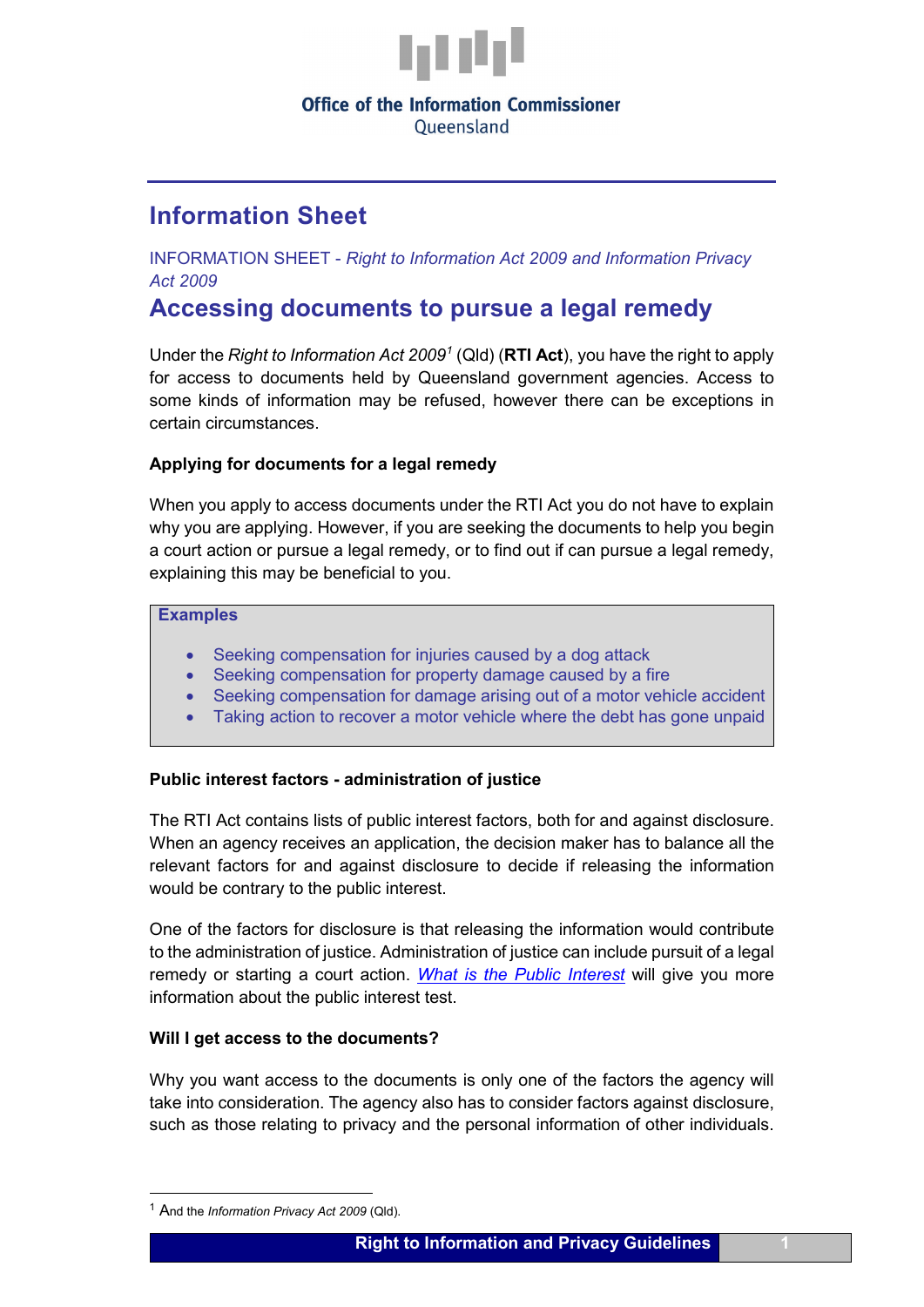

# **Office of the Information Commissioner**

Oueensland

# **Information Sheet**

INFORMATION SHEET - *Right to Information Act 2009 and Information Privacy Act 2009*

# **Accessing documents to pursue a legal remedy**

Under the *Right to Information Act 2009[1](#page-0-0)* (Qld) (**RTI Act**), you have the right to apply for access to documents held by Queensland government agencies. Access to some kinds of information may be refused, however there can be exceptions in certain circumstances.

# **Applying for documents for a legal remedy**

When you apply to access documents under the RTI Act you do not have to explain why you are applying. However, if you are seeking the documents to help you begin a court action or pursue a legal remedy, or to find out if can pursue a legal remedy, explaining this may be beneficial to you.

## **Examples**

- Seeking compensation for injuries caused by a dog attack
- Seeking compensation for property damage caused by a fire
- Seeking compensation for damage arising out of a motor vehicle accident
- Taking action to recover a motor vehicle where the debt has gone unpaid

# **Public interest factors - administration of justice**

The RTI Act contains lists of public interest factors, both for and against disclosure. When an agency receives an application, the decision maker has to balance all the relevant factors for and against disclosure to decide if releasing the information would be contrary to the public interest.

One of the factors for disclosure is that releasing the information would contribute to the administration of justice. Administration of justice can include pursuit of a legal remedy or starting a court action. *[What is the Public Interest](https://www.oic.qld.gov.au/guidelines/for-community-members/information-sheets-access-and-amendment/what-is-the-public-interest)* will give you more information about the public interest test.

## **Will I get access to the documents?**

Why you want access to the documents is only one of the factors the agency will take into consideration. The agency also has to consider factors against disclosure, such as those relating to privacy and the personal information of other individuals.

<span id="page-0-0"></span> <sup>1</sup> And the *Information Privacy Act 2009* (Qld).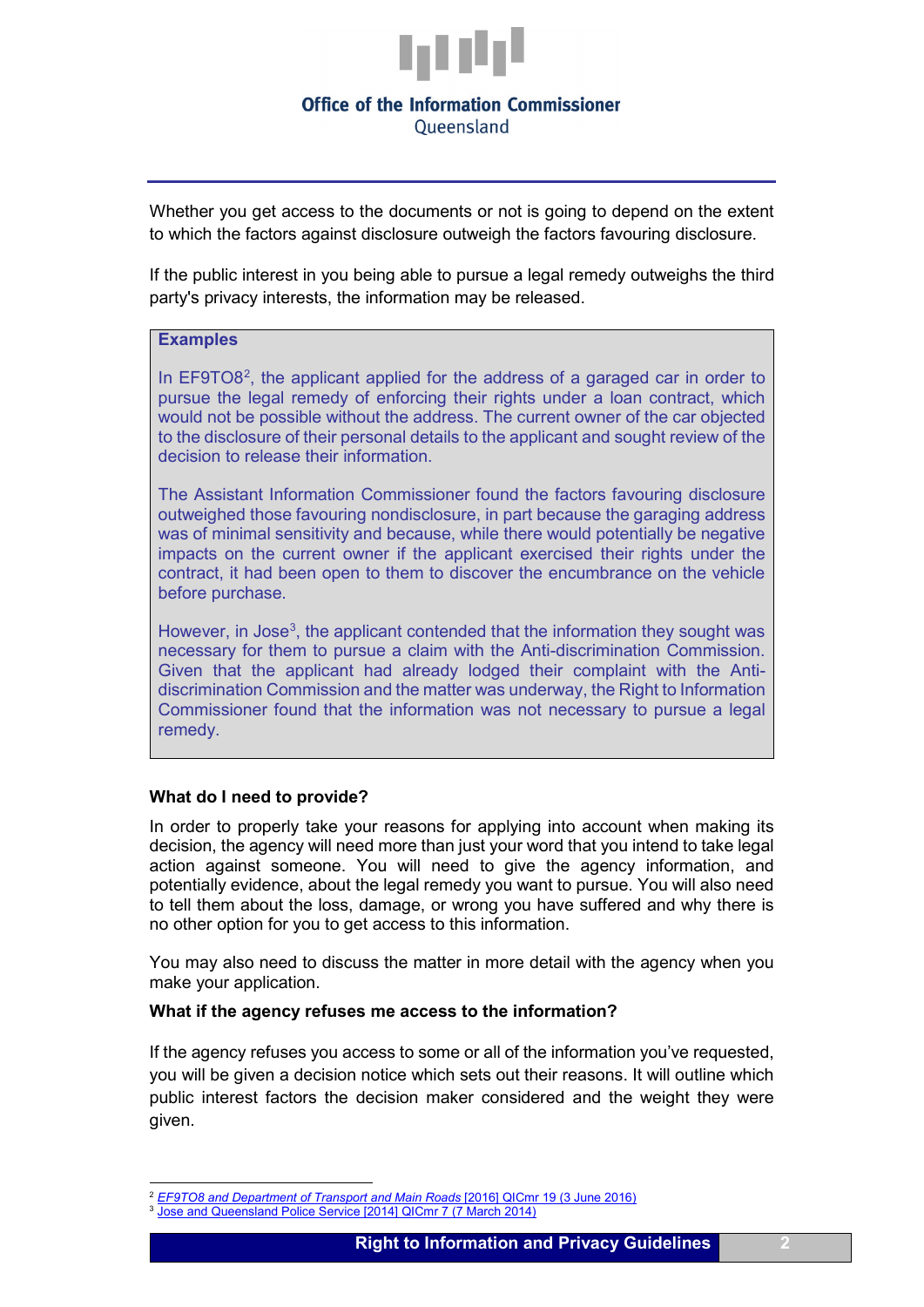

## **Office of the Information Commissioner** Oueensland

Whether you get access to the documents or not is going to depend on the extent to which the factors against disclosure outweigh the factors favouring disclosure.

If the public interest in you being able to pursue a legal remedy outweighs the third party's privacy interests, the information may be released.

#### **Examples**

In EF9TO8<sup>[2](#page-1-0)</sup>, the applicant applied for the address of a garaged car in order to pursue the legal remedy of enforcing their rights under a loan contract, which would not be possible without the address. The current owner of the car objected to the disclosure of their personal details to the applicant and sought review of the decision to release their information.

The Assistant Information Commissioner found the factors favouring disclosure outweighed those favouring nondisclosure, in part because the garaging address was of minimal sensitivity and because, while there would potentially be negative impacts on the current owner if the applicant exercised their rights under the contract, it had been open to them to discover the encumbrance on the vehicle before purchase.

However, in Jose<sup>[3](#page-1-1)</sup>, the applicant contended that the information they sought was necessary for them to pursue a claim with the Anti-discrimination Commission. Given that the applicant had already lodged their complaint with the Antidiscrimination Commission and the matter was underway, the Right to Information Commissioner found that the information was not necessary to pursue a legal remedy.

#### **What do I need to provide?**

In order to properly take your reasons for applying into account when making its decision, the agency will need more than just your word that you intend to take legal action against someone. You will need to give the agency information, and potentially evidence, about the legal remedy you want to pursue. You will also need to tell them about the loss, damage, or wrong you have suffered and why there is no other option for you to get access to this information.

You may also need to discuss the matter in more detail with the agency when you make your application.

#### **What if the agency refuses me access to the information?**

If the agency refuses you access to some or all of the information you've requested, you will be given a decision notice which sets out their reasons. It will outline which public interest factors the decision maker considered and the weight they were given.

 <sup>2</sup> *[EF9TO8 and Department of Transport and Main Roads](https://www.oic.qld.gov.au/decisions/ef9to8-and-department-of-transport-and-main-roads-2016-qicmr-19-3-june-2016)* [2016] QICmr 19 (3 June 2016)

<span id="page-1-1"></span><span id="page-1-0"></span><sup>3</sup> [Jose and Queensland Police Service \[2014\] QICmr 7 \(7 March 2014\)](https://www.oic.qld.gov.au/decisions/jose-and-queensland-police-service-2014-qicmr-7-7-march-2014)